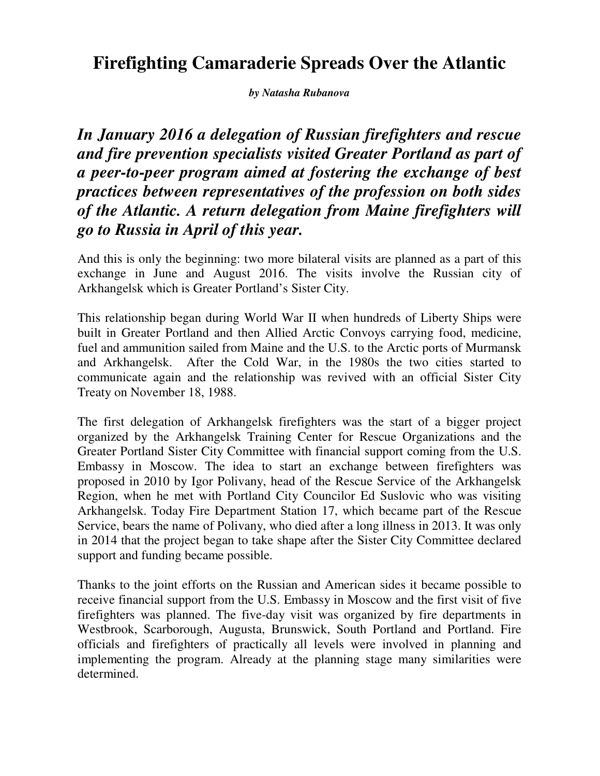## **Firefighting Camaraderie Spreads Over the Atlantic**

*by Natasha Rubanova* 

*In January 2016 a delegation of Russian firefighters and rescue and fire prevention specialists visited Greater Portland as part of a peer-to-peer program aimed at fostering the exchange of best practices between representatives of the profession on both sides of the Atlantic. A return delegation from Maine firefighters will go to Russia in April of this year.* 

And this is only the beginning: two more bilateral visits are planned as a part of this exchange in June and August 2016. The visits involve the Russian city of Arkhangelsk which is Greater Portland's Sister City.

This relationship began during World War II when hundreds of Liberty Ships were built in Greater Portland and then Allied Arctic Convoys carrying food, medicine, fuel and ammunition sailed from Maine and the U.S. to the Arctic ports of Murmansk and Arkhangelsk. After the Cold War, in the 1980s the two cities started to communicate again and the relationship was revived with an official Sister City Treaty on November 18, 1988.

The first delegation of Arkhangelsk firefighters was the start of a bigger project organized by the Arkhangelsk Training Center for Rescue Organizations and the Greater Portland Sister City Committee with financial support coming from the U.S. Embassy in Moscow. The idea to start an exchange between firefighters was proposed in 2010 by Igor Polivany, head of the Rescue Service of the Arkhangelsk Region, when he met with Portland City Councilor Ed Suslovic who was visiting Arkhangelsk. Today Fire Department Station 17, which became part of the Rescue Service, bears the name of Polivany, who died after a long illness in 2013. It was only in 2014 that the project began to take shape after the Sister City Committee declared support and funding became possible.

Thanks to the joint efforts on the Russian and American sides it became possible to receive financial support from the U.S. Embassy in Moscow and the first visit of five firefighters was planned. The five-day visit was organized by fire departments in Westbrook, Scarborough, Augusta, Brunswick, South Portland and Portland. Fire officials and firefighters of practically all levels were involved in planning and implementing the program. Already at the planning stage many similarities were determined.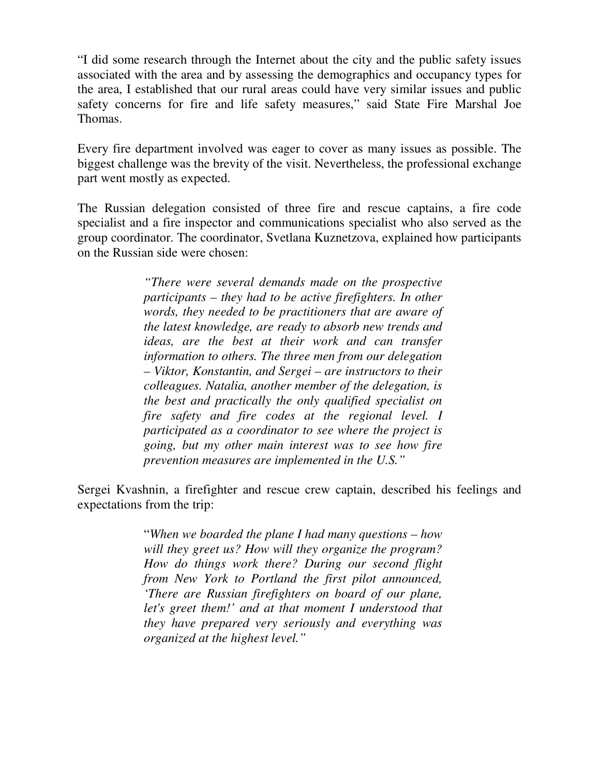"I did some research through the Internet about the city and the public safety issues associated with the area and by assessing the demographics and occupancy types for the area, I established that our rural areas could have very similar issues and public safety concerns for fire and life safety measures," said State Fire Marshal Joe Thomas.

Every fire department involved was eager to cover as many issues as possible. The biggest challenge was the brevity of the visit. Nevertheless, the professional exchange part went mostly as expected.

The Russian delegation consisted of three fire and rescue captains, a fire code specialist and a fire inspector and communications specialist who also served as the group coordinator. The coordinator, Svetlana Kuznetzova, explained how participants on the Russian side were chosen:

> *"There were several demands made on the prospective participants – they had to be active firefighters. In other words, they needed to be practitioners that are aware of the latest knowledge, are ready to absorb new trends and ideas, are the best at their work and can transfer information to others. The three men from our delegation – Viktor, Konstantin, and Sergei – are instructors to their colleagues. Natalia, another member of the delegation, is the best and practically the only qualified specialist on fire safety and fire codes at the regional level. I participated as a coordinator to see where the project is going, but my other main interest was to see how fire prevention measures are implemented in the U.S."*

Sergei Kvashnin, a firefighter and rescue crew captain, described his feelings and expectations from the trip:

> "*When we boarded the plane I had many questions – how will they greet us? How will they organize the program? How do things work there? During our second flight from New York to Portland the first pilot announced, 'There are Russian firefighters on board of our plane, let's greet them!' and at that moment I understood that they have prepared very seriously and everything was organized at the highest level."*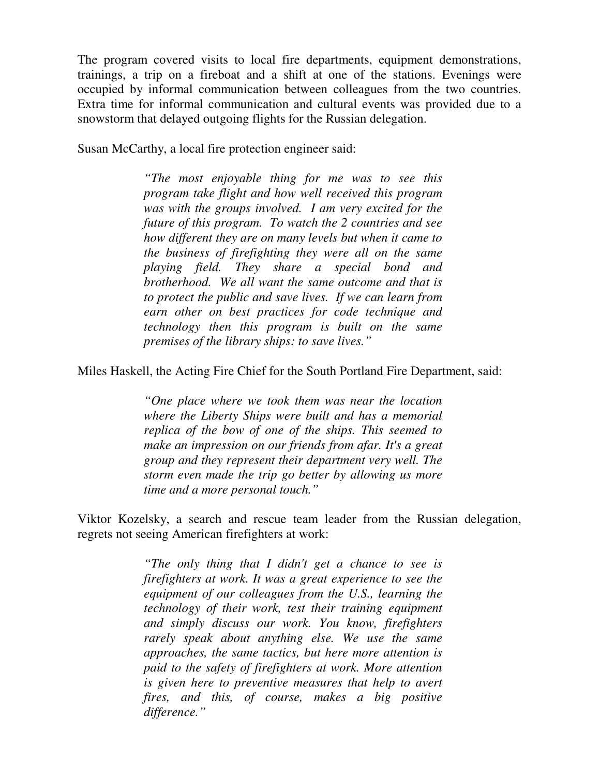The program covered visits to local fire departments, equipment demonstrations, trainings, a trip on a fireboat and a shift at one of the stations. Evenings were occupied by informal communication between colleagues from the two countries. Extra time for informal communication and cultural events was provided due to a snowstorm that delayed outgoing flights for the Russian delegation.

Susan McCarthy, a local fire protection engineer said:

*"The most enjoyable thing for me was to see this program take flight and how well received this program was with the groups involved. I am very excited for the future of this program. To watch the 2 countries and see how different they are on many levels but when it came to the business of firefighting they were all on the same playing field. They share a special bond and brotherhood. We all want the same outcome and that is to protect the public and save lives. If we can learn from earn other on best practices for code technique and technology then this program is built on the same premises of the library ships: to save lives."* 

Miles Haskell, the Acting Fire Chief for the South Portland Fire Department, said:

*"One place where we took them was near the location where the Liberty Ships were built and has a memorial replica of the bow of one of the ships. This seemed to make an impression on our friends from afar. It's a great group and they represent their department very well. The storm even made the trip go better by allowing us more time and a more personal touch."* 

Viktor Kozelsky, a search and rescue team leader from the Russian delegation, regrets not seeing American firefighters at work:

> *"The only thing that I didn't get a chance to see is firefighters at work. It was a great experience to see the equipment of our colleagues from the U.S., learning the technology of their work, test their training equipment and simply discuss our work. You know, firefighters rarely speak about anything else. We use the same approaches, the same tactics, but here more attention is paid to the safety of firefighters at work. More attention is given here to preventive measures that help to avert fires, and this, of course, makes a big positive difference."*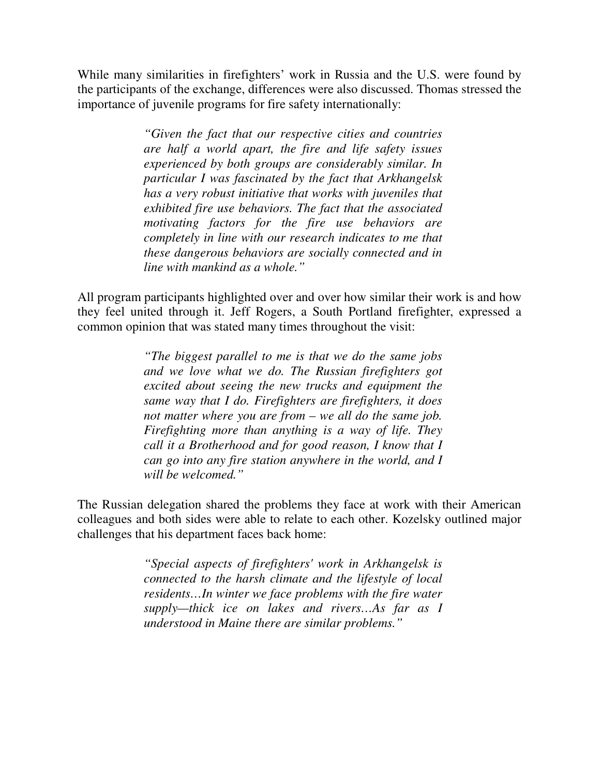While many similarities in firefighters' work in Russia and the U.S. were found by the participants of the exchange, differences were also discussed. Thomas stressed the importance of juvenile programs for fire safety internationally:

> *"Given the fact that our respective cities and countries are half a world apart, the fire and life safety issues experienced by both groups are considerably similar. In particular I was fascinated by the fact that Arkhangelsk has a very robust initiative that works with juveniles that exhibited fire use behaviors. The fact that the associated motivating factors for the fire use behaviors are completely in line with our research indicates to me that these dangerous behaviors are socially connected and in line with mankind as a whole."*

All program participants highlighted over and over how similar their work is and how they feel united through it. Jeff Rogers, a South Portland firefighter, expressed a common opinion that was stated many times throughout the visit:

> *"The biggest parallel to me is that we do the same jobs and we love what we do. The Russian firefighters got excited about seeing the new trucks and equipment the same way that I do. Firefighters are firefighters, it does not matter where you are from – we all do the same job. Firefighting more than anything is a way of life. They call it a Brotherhood and for good reason, I know that I can go into any fire station anywhere in the world, and I will be welcomed."*

The Russian delegation shared the problems they face at work with their American colleagues and both sides were able to relate to each other. Kozelsky outlined major challenges that his department faces back home:

> *"Special aspects of firefighters' work in Arkhangelsk is connected to the harsh climate and the lifestyle of local residents…In winter we face problems with the fire water supply—thick ice on lakes and rivers…As far as I understood in Maine there are similar problems."*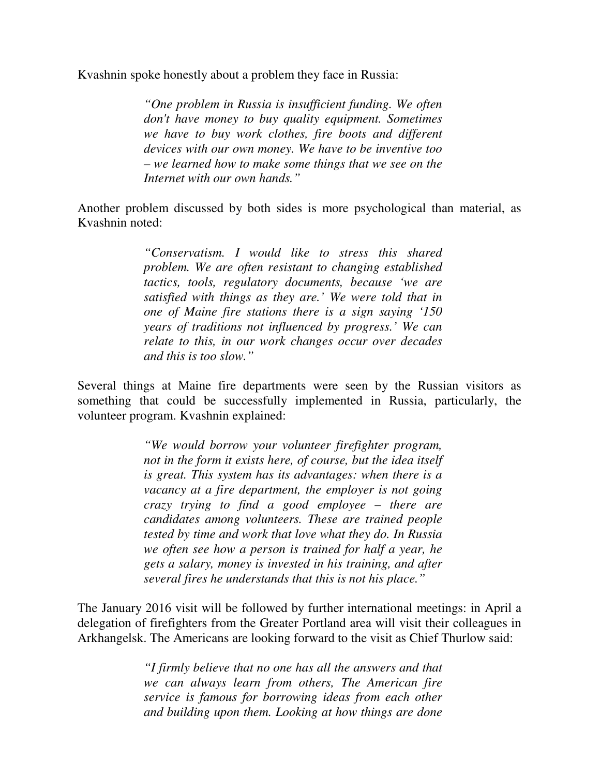Kvashnin spoke honestly about a problem they face in Russia:

*"One problem in Russia is insufficient funding. We often don't have money to buy quality equipment. Sometimes we have to buy work clothes, fire boots and different devices with our own money. We have to be inventive too – we learned how to make some things that we see on the Internet with our own hands."* 

Another problem discussed by both sides is more psychological than material, as Kvashnin noted:

> *"Conservatism. I would like to stress this shared problem. We are often resistant to changing established tactics, tools, regulatory documents, because 'we are satisfied with things as they are.' We were told that in one of Maine fire stations there is a sign saying '150 years of traditions not influenced by progress.' We can relate to this, in our work changes occur over decades and this is too slow."*

Several things at Maine fire departments were seen by the Russian visitors as something that could be successfully implemented in Russia, particularly, the volunteer program. Kvashnin explained:

> *"We would borrow your volunteer firefighter program, not in the form it exists here, of course, but the idea itself is great. This system has its advantages: when there is a vacancy at a fire department, the employer is not going crazy trying to find a good employee – there are candidates among volunteers. These are trained people tested by time and work that love what they do. In Russia we often see how a person is trained for half a year, he gets a salary, money is invested in his training, and after several fires he understands that this is not his place."*

The January 2016 visit will be followed by further international meetings: in April a delegation of firefighters from the Greater Portland area will visit their colleagues in Arkhangelsk. The Americans are looking forward to the visit as Chief Thurlow said:

> *"I firmly believe that no one has all the answers and that we can always learn from others, The American fire service is famous for borrowing ideas from each other and building upon them. Looking at how things are done*